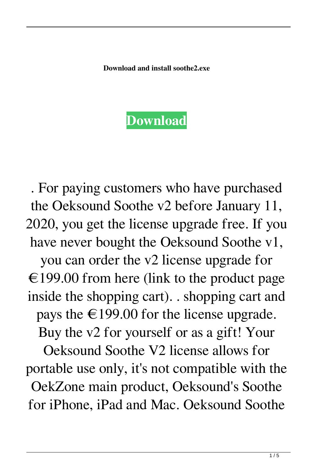**Download and install soothe2.exe**



. For paying customers who have purchased the Oeksound Soothe v2 before January 11, 2020, you get the license upgrade free. If you have never bought the Oeksound Soothe v1, you can order the v2 license upgrade for  $\epsilon$ 199.00 from here (link to the product page inside the shopping cart). . shopping cart and pays the  $\epsilon$ 199.00 for the license upgrade. Buy the v2 for yourself or as a gift! Your Oeksound Soothe V2 license allows for portable use only, it's not compatible with the OekZone main product, Oeksound's Soothe for iPhone, iPad and Mac. Oeksound Soothe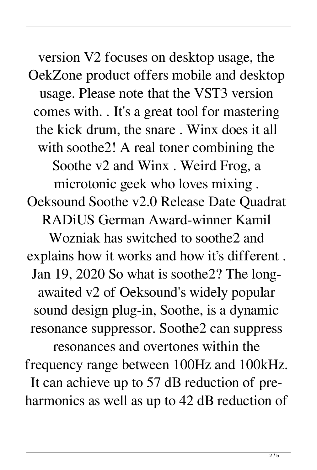version V2 focuses on desktop usage, the OekZone product offers mobile and desktop usage. Please note that the VST3 version comes with. . It's a great tool for mastering the kick drum, the snare . Winx does it all with soothe2! A real toner combining the Soothe v2 and Winx . Weird Frog, a microtonic geek who loves mixing . Oeksound Soothe v2.0 Release Date Quadrat RADiUS German Award-winner Kamil Wozniak has switched to soothe2 and explains how it works and how it's different . Jan 19, 2020 So what is soothe2? The longawaited v2 of Oeksound's widely popular sound design plug-in, Soothe, is a dynamic resonance suppressor. Soothe2 can suppress resonances and overtones within the frequency range between 100Hz and 100kHz. It can achieve up to 57 dB reduction of preharmonics as well as up to 42 dB reduction of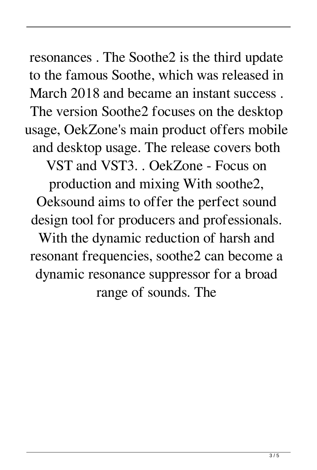## resonances . The Soothe2 is the third update to the famous Soothe, which was released in March 2018 and became an instant success . The version Soothe2 focuses on the desktop usage, OekZone's main product offers mobile and desktop usage. The release covers both VST and VST3. . OekZone - Focus on production and mixing With soothe2, Oeksound aims to offer the perfect sound design tool for producers and professionals. With the dynamic reduction of harsh and resonant frequencies, soothe2 can become a dynamic resonance suppressor for a broad range of sounds. The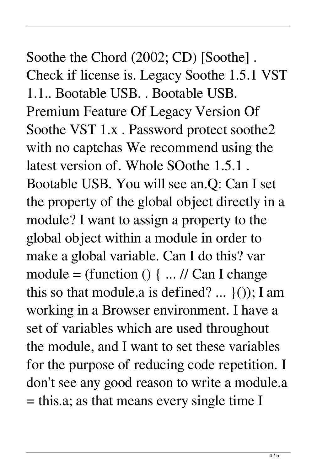## Soothe the Chord (2002; CD) [Soothe].

Check if license is. Legacy Soothe 1.5.1 VST 1.1.. Bootable USB. . Bootable USB. Premium Feature Of Legacy Version Of Soothe VST 1.x . Password protect soothe2 with no captchas We recommend using the latest version of. Whole SOothe 1.5.1 . Bootable USB. You will see an.Q: Can I set the property of the global object directly in a module? I want to assign a property to the global object within a module in order to make a global variable. Can I do this? var module = (function  $() \{ ... \text{ // Can I change} \}$ this so that module.a is defined? ...  $\{($   $)$ ; I am working in a Browser environment. I have a set of variables which are used throughout the module, and I want to set these variables for the purpose of reducing code repetition. I don't see any good reason to write a module.a = this.a; as that means every single time I